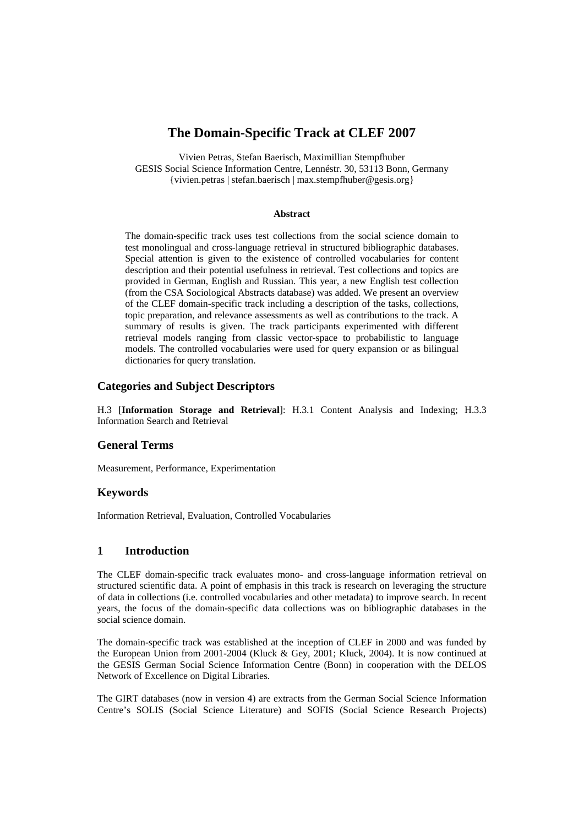# **The Domain-Specific Track at CLEF 2007**

Vivien Petras, Stefan Baerisch, Maximillian Stempfhuber GESIS Social Science Information Centre, Lennéstr. 30, 53113 Bonn, Germany {vivien.petras | stefan.baerisch | max.stempfhuber@gesis.org}

#### **Abstract**

The domain-specific track uses test collections from the social science domain to test monolingual and cross-language retrieval in structured bibliographic databases. Special attention is given to the existence of controlled vocabularies for content description and their potential usefulness in retrieval. Test collections and topics are provided in German, English and Russian. This year, a new English test collection (from the CSA Sociological Abstracts database) was added. We present an overview of the CLEF domain-specific track including a description of the tasks, collections, topic preparation, and relevance assessments as well as contributions to the track. A summary of results is given. The track participants experimented with different retrieval models ranging from classic vector-space to probabilistic to language models. The controlled vocabularies were used for query expansion or as bilingual dictionaries for query translation.

#### **Categories and Subject Descriptors**

H.3 [**Information Storage and Retrieval**]: H.3.1 Content Analysis and Indexing; H.3.3 Information Search and Retrieval

### **General Terms**

Measurement, Performance, Experimentation

### **Keywords**

Information Retrieval, Evaluation, Controlled Vocabularies

#### **1 Introduction**

The CLEF domain-specific track evaluates mono- and cross-language information retrieval on structured scientific data. A point of emphasis in this track is research on leveraging the structure of data in collections (i.e. controlled vocabularies and other metadata) to improve search. In recent years, the focus of the domain-specific data collections was on bibliographic databases in the social science domain.

The domain-specific track was established at the inception of CLEF in 2000 and was funded by the European Union from 2001-2004 (Kluck & Gey, 2001; Kluck, 2004). It is now continued at the GESIS German Social Science Information Centre (Bonn) in cooperation with the DELOS Network of Excellence on Digital Libraries.

The GIRT databases (now in version 4) are extracts from the German Social Science Information Centre's SOLIS (Social Science Literature) and SOFIS (Social Science Research Projects)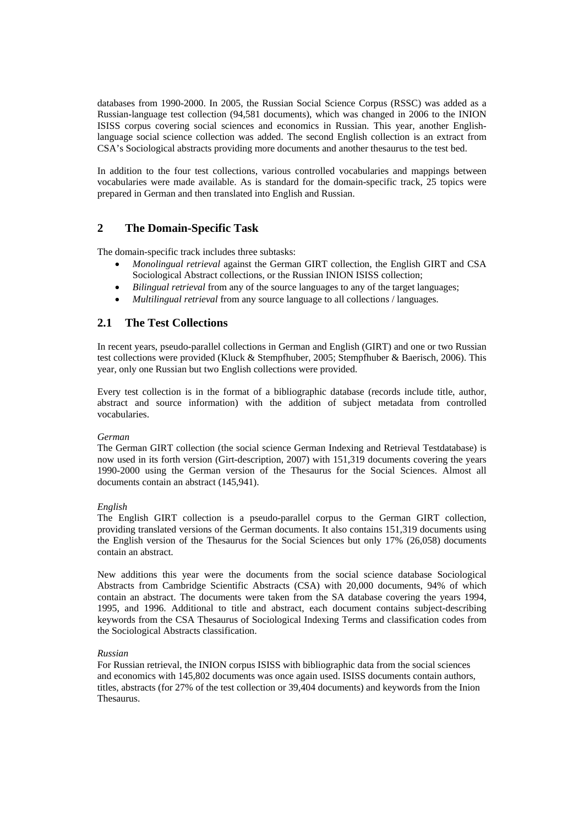databases from 1990-2000. In 2005, the Russian Social Science Corpus (RSSC) was added as a Russian-language test collection (94,581 documents), which was changed in 2006 to the INION ISISS corpus covering social sciences and economics in Russian. This year, another Englishlanguage social science collection was added. The second English collection is an extract from CSA's Sociological abstracts providing more documents and another thesaurus to the test bed.

In addition to the four test collections, various controlled vocabularies and mappings between vocabularies were made available. As is standard for the domain-specific track, 25 topics were prepared in German and then translated into English and Russian.

### **2 The Domain-Specific Task**

The domain-specific track includes three subtasks:

- *Monolingual retrieval* against the German GIRT collection, the English GIRT and CSA Sociological Abstract collections, or the Russian INION ISISS collection;
- *Bilingual retrieval* from any of the source languages to any of the target languages;
- *Multilingual retrieval* from any source language to all collections / languages.

#### **2.1 The Test Collections**

In recent years, pseudo-parallel collections in German and English (GIRT) and one or two Russian test collections were provided (Kluck & Stempfhuber, 2005; Stempfhuber & Baerisch, 2006). This year, only one Russian but two English collections were provided.

Every test collection is in the format of a bibliographic database (records include title, author, abstract and source information) with the addition of subject metadata from controlled vocabularies.

#### *German*

The German GIRT collection (the social science German Indexing and Retrieval Testdatabase) is now used in its forth version (Girt-description, 2007) with 151,319 documents covering the years 1990-2000 using the German version of the Thesaurus for the Social Sciences. Almost all documents contain an abstract (145,941).

#### *English*

The English GIRT collection is a pseudo-parallel corpus to the German GIRT collection, providing translated versions of the German documents. It also contains 151,319 documents using the English version of the Thesaurus for the Social Sciences but only 17% (26,058) documents contain an abstract.

New additions this year were the documents from the social science database Sociological Abstracts from Cambridge Scientific Abstracts (CSA) with 20,000 documents, 94% of which contain an abstract. The documents were taken from the SA database covering the years 1994, 1995, and 1996. Additional to title and abstract, each document contains subject-describing keywords from the CSA Thesaurus of Sociological Indexing Terms and classification codes from the Sociological Abstracts classification.

#### *Russian*

For Russian retrieval, the INION corpus ISISS with bibliographic data from the social sciences and economics with 145,802 documents was once again used. ISISS documents contain authors, titles, abstracts (for 27% of the test collection or 39,404 documents) and keywords from the Inion Thesaurus.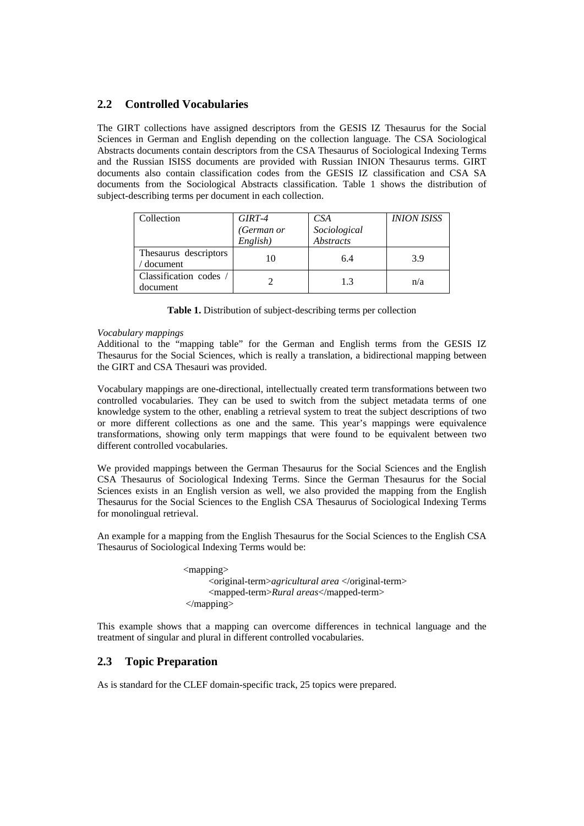## **2.2 Controlled Vocabularies**

The GIRT collections have assigned descriptors from the GESIS IZ Thesaurus for the Social Sciences in German and English depending on the collection language. The CSA Sociological Abstracts documents contain descriptors from the CSA Thesaurus of Sociological Indexing Terms and the Russian ISISS documents are provided with Russian INION Thesaurus terms. GIRT documents also contain classification codes from the GESIS IZ classification and CSA SA documents from the Sociological Abstracts classification. Table 1 shows the distribution of subject-describing terms per document in each collection.

| Collection            | GIRT-4     | <i>CSA</i>       | <b>INION ISISS</b> |
|-----------------------|------------|------------------|--------------------|
|                       | (German or | Sociological     |                    |
|                       | English)   | <b>Abstracts</b> |                    |
| Thesaurus descriptors | 10         | 6.4              | 3.9                |
| document              |            |                  |                    |
| Classification codes  |            | 13               |                    |
| document              |            |                  | n/a                |

**Table 1.** Distribution of subject-describing terms per collection

#### *Vocabulary mappings*

Additional to the "mapping table" for the German and English terms from the GESIS IZ Thesaurus for the Social Sciences, which is really a translation, a bidirectional mapping between the GIRT and CSA Thesauri was provided.

Vocabulary mappings are one-directional, intellectually created term transformations between two controlled vocabularies. They can be used to switch from the subject metadata terms of one knowledge system to the other, enabling a retrieval system to treat the subject descriptions of two or more different collections as one and the same. This year's mappings were equivalence transformations, showing only term mappings that were found to be equivalent between two different controlled vocabularies.

We provided mappings between the German Thesaurus for the Social Sciences and the English CSA Thesaurus of Sociological Indexing Terms. Since the German Thesaurus for the Social Sciences exists in an English version as well, we also provided the mapping from the English Thesaurus for the Social Sciences to the English CSA Thesaurus of Sociological Indexing Terms for monolingual retrieval.

An example for a mapping from the English Thesaurus for the Social Sciences to the English CSA Thesaurus of Sociological Indexing Terms would be:

> <mapping> <original-term>*agricultural area* </original-term> <mapped-term>*Rural areas*</mapped-term> </mapping>

This example shows that a mapping can overcome differences in technical language and the treatment of singular and plural in different controlled vocabularies.

## **2.3 Topic Preparation**

As is standard for the CLEF domain-specific track, 25 topics were prepared.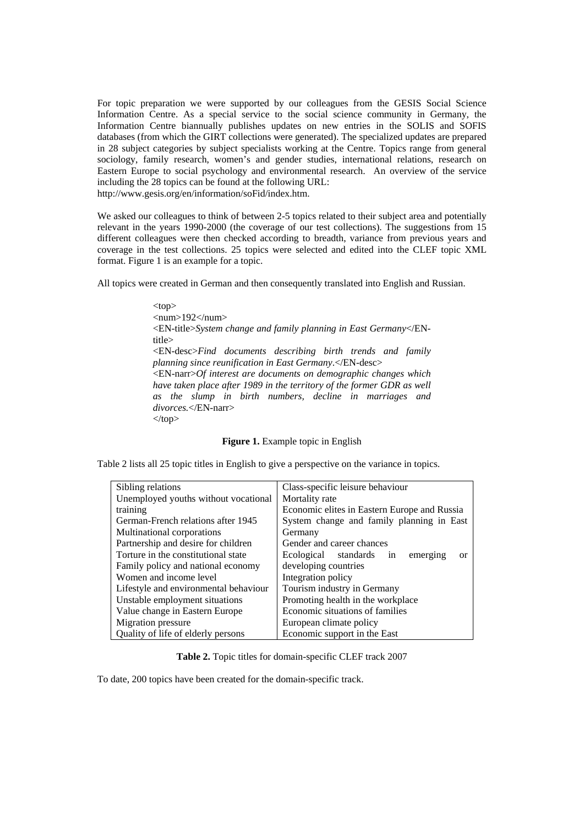For topic preparation we were supported by our colleagues from the GESIS Social Science Information Centre. As a special service to the social science community in Germany, the Information Centre biannually publishes updates on new entries in the SOLIS and SOFIS databases (from which the GIRT collections were generated). The specialized updates are prepared in 28 subject categories by subject specialists working at the Centre. Topics range from general sociology, family research, women's and gender studies, international relations, research on Eastern Europe to social psychology and environmental research. An overview of the service including the 28 topics can be found at the following URL: http://www.gesis.org/en/information/soFid/index.htm.

We asked our colleagues to think of between 2-5 topics related to their subject area and potentially relevant in the years 1990-2000 (the coverage of our test collections). The suggestions from 15 different colleagues were then checked according to breadth, variance from previous years and coverage in the test collections. 25 topics were selected and edited into the CLEF topic XML format. Figure 1 is an example for a topic.

All topics were created in German and then consequently translated into English and Russian.

 $<$ top $>$  $\langle$ num $>$ 192 $\langle$ num $>$  <EN-title>*System change and family planning in East Germany*</ENtitle> <EN-desc>*Find documents describing birth trends and family planning since reunification in East Germany*.</EN-desc> <EN-narr>*Of interest are documents on demographic changes which have taken place after 1989 in the territory of the former GDR as well as the slump in birth numbers, decline in marriages and divorces.*</EN-narr>  $\langle$ top $>$ 

#### **Figure 1.** Example topic in English

Table 2 lists all 25 topic titles in English to give a perspective on the variance in topics.

| Sibling relations                     | Class-specific leisure behaviour             |
|---------------------------------------|----------------------------------------------|
| Unemployed youths without vocational  | Mortality rate                               |
| training                              | Economic elites in Eastern Europe and Russia |
| German-French relations after 1945    | System change and family planning in East    |
| Multinational corporations            | Germany                                      |
| Partnership and desire for children   | Gender and career chances                    |
| Torture in the constitutional state   | Ecological standards in<br>emerging<br>or    |
| Family policy and national economy    | developing countries                         |
| Women and income level                | Integration policy                           |
| Lifestyle and environmental behaviour | Tourism industry in Germany                  |
| Unstable employment situations        | Promoting health in the workplace            |
| Value change in Eastern Europe        | Economic situations of families              |
| Migration pressure                    | European climate policy                      |
| Quality of life of elderly persons    | Economic support in the East                 |

**Table 2.** Topic titles for domain-specific CLEF track 2007

To date, 200 topics have been created for the domain-specific track.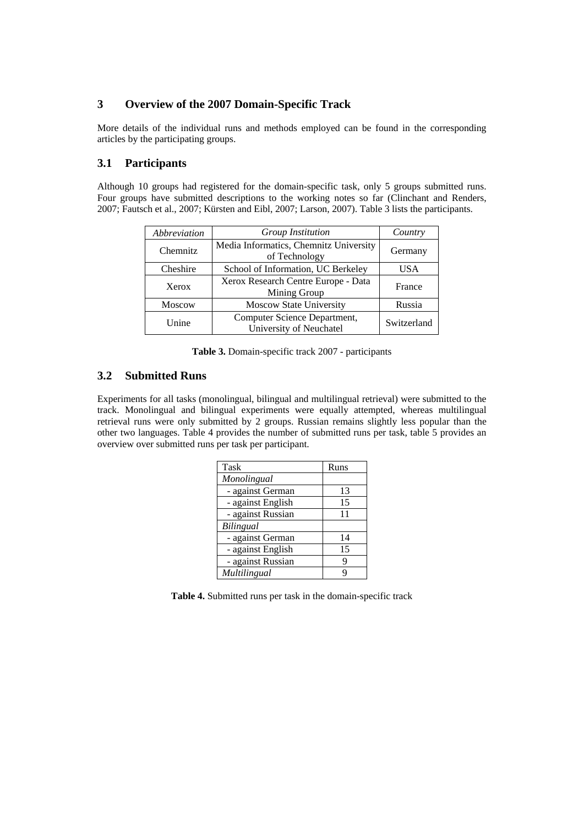## **3 Overview of the 2007 Domain-Specific Track**

More details of the individual runs and methods employed can be found in the corresponding articles by the participating groups.

### **3.1 Participants**

Although 10 groups had registered for the domain-specific task, only 5 groups submitted runs. Four groups have submitted descriptions to the working notes so far (Clinchant and Renders, 2007; Fautsch et al., 2007; Kürsten and Eibl, 2007; Larson, 2007). Table 3 lists the participants.

| Abbreviation  | Group Institution                                       | Country    |
|---------------|---------------------------------------------------------|------------|
| Chemnitz      | Media Informatics, Chemnitz University<br>of Technology | Germany    |
| Cheshire      | School of Information, UC Berkeley                      | <b>USA</b> |
| Xerox         | Xerox Research Centre Europe - Data<br>Mining Group     | France     |
| <b>Moscow</b> | Moscow State University                                 | Russia     |
| Unine         | Computer Science Department,<br>University of Neuchatel |            |

**Table 3.** Domain-specific track 2007 - participants

## **3.2 Submitted Runs**

Experiments for all tasks (monolingual, bilingual and multilingual retrieval) were submitted to the track. Monolingual and bilingual experiments were equally attempted, whereas multilingual retrieval runs were only submitted by 2 groups. Russian remains slightly less popular than the other two languages. Table 4 provides the number of submitted runs per task, table 5 provides an overview over submitted runs per task per participant.

| Task              | Runs |
|-------------------|------|
| Monolingual       |      |
| - against German  | 13   |
| - against English | 15   |
| - against Russian | 11   |
| Bilingual         |      |
| - against German  | 14   |
| - against English | 15   |
| - against Russian | 9    |
| Multilingual      |      |

**Table 4.** Submitted runs per task in the domain-specific track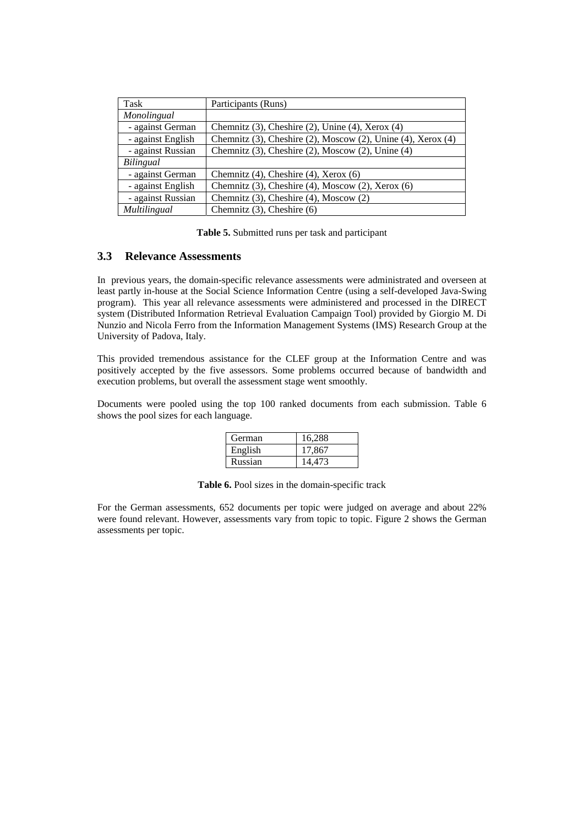| Task                | Participants (Runs)                                          |
|---------------------|--------------------------------------------------------------|
| Monolingual         |                                                              |
| - against German    | Chemnitz (3), Cheshire (2), Unine (4), Xerox (4)             |
| - against English   | Chemnitz (3), Cheshire (2), Moscow (2), Unine (4), Xerox (4) |
| - against Russian   | Chemnitz (3), Cheshire (2), Moscow (2), Unine (4)            |
| <i>Bilingual</i>    |                                                              |
| - against German    | Chemnitz $(4)$ , Cheshire $(4)$ , Xerox $(6)$                |
| - against English   | Chemnitz (3), Cheshire (4), Moscow (2), Xerox (6)            |
| - against Russian   | Chemnitz $(3)$ , Cheshire $(4)$ , Moscow $(2)$               |
| <i>Multilingual</i> | Chemnitz $(3)$ , Cheshire $(6)$                              |

**Table 5.** Submitted runs per task and participant

#### **3.3 Relevance Assessments**

In previous years, the domain-specific relevance assessments were administrated and overseen at least partly in-house at the Social Science Information Centre (using a self-developed Java-Swing program). This year all relevance assessments were administered and processed in the DIRECT system (Distributed Information Retrieval Evaluation Campaign Tool) provided by Giorgio M. Di Nunzio and Nicola Ferro from the Information Management Systems (IMS) Research Group at the University of Padova, Italy.

This provided tremendous assistance for the CLEF group at the Information Centre and was positively accepted by the five assessors. Some problems occurred because of bandwidth and execution problems, but overall the assessment stage went smoothly.

Documents were pooled using the top 100 ranked documents from each submission. Table 6 shows the pool sizes for each language.

| German  | 16.288 |
|---------|--------|
| English | 17,867 |
| Russian | 14,473 |

**Table 6.** Pool sizes in the domain-specific track

For the German assessments, 652 documents per topic were judged on average and about 22% were found relevant. However, assessments vary from topic to topic. Figure 2 shows the German assessments per topic.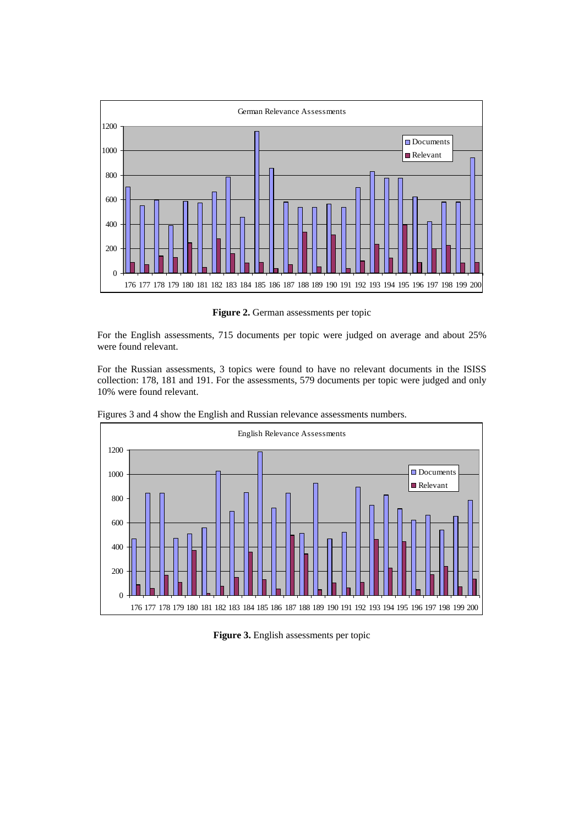

**Figure 2.** German assessments per topic

For the English assessments, 715 documents per topic were judged on average and about 25% were found relevant.

For the Russian assessments, 3 topics were found to have no relevant documents in the ISISS collection: 178, 181 and 191. For the assessments, 579 documents per topic were judged and only 10% were found relevant.



Figures 3 and 4 show the English and Russian relevance assessments numbers.

**Figure 3.** English assessments per topic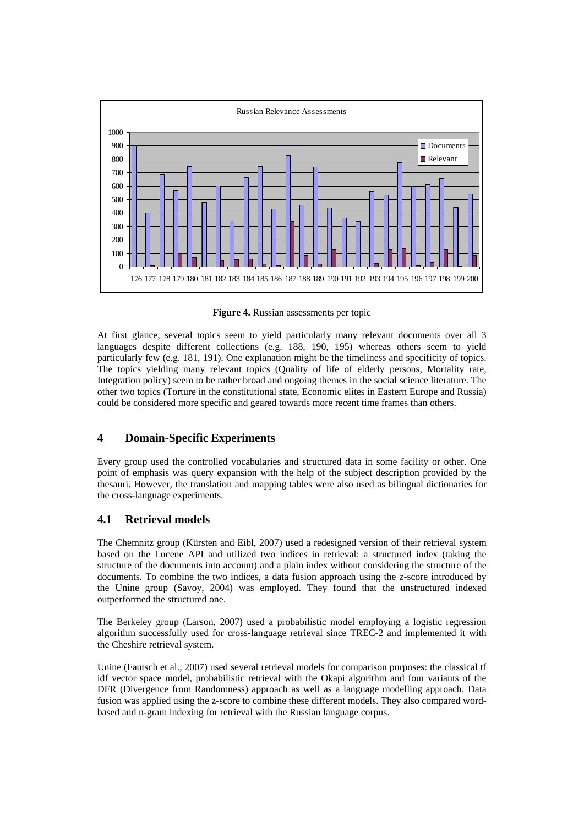

**Figure 4.** Russian assessments per topic

At first glance, several topics seem to yield particularly many relevant documents over all 3 languages despite different collections (e.g. 188, 190, 195) whereas others seem to yield particularly few (e.g. 181, 191). One explanation might be the timeliness and specificity of topics. The topics yielding many relevant topics (Quality of life of elderly persons, Mortality rate, Integration policy) seem to be rather broad and ongoing themes in the social science literature. The other two topics (Torture in the constitutional state, Economic elites in Eastern Europe and Russia) could be considered more specific and geared towards more recent time frames than others.

## **4 Domain-Specific Experiments**

Every group used the controlled vocabularies and structured data in some facility or other. One point of emphasis was query expansion with the help of the subject description provided by the thesauri. However, the translation and mapping tables were also used as bilingual dictionaries for the cross-language experiments.

## **4.1 Retrieval models**

The Chemnitz group (Kürsten and Eibl, 2007) used a redesigned version of their retrieval system based on the Lucene API and utilized two indices in retrieval: a structured index (taking the structure of the documents into account) and a plain index without considering the structure of the documents. To combine the two indices, a data fusion approach using the z-score introduced by the Unine group (Savoy, 2004) was employed. They found that the unstructured indexed outperformed the structured one.

The Berkeley group (Larson, 2007) used a probabilistic model employing a logistic regression algorithm successfully used for cross-language retrieval since TREC-2 and implemented it with the Cheshire retrieval system.

Unine (Fautsch et al., 2007) used several retrieval models for comparison purposes: the classical tf idf vector space model, probabilistic retrieval with the Okapi algorithm and four variants of the DFR (Divergence from Randomness) approach as well as a language modelling approach. Data fusion was applied using the z-score to combine these different models. They also compared wordbased and n-gram indexing for retrieval with the Russian language corpus.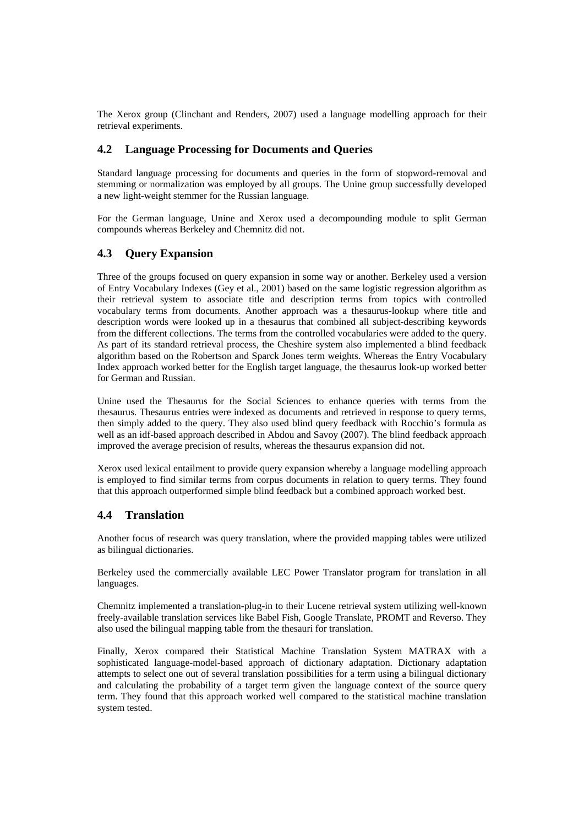The Xerox group (Clinchant and Renders, 2007) used a language modelling approach for their retrieval experiments.

## **4.2 Language Processing for Documents and Queries**

Standard language processing for documents and queries in the form of stopword-removal and stemming or normalization was employed by all groups. The Unine group successfully developed a new light-weight stemmer for the Russian language.

For the German language, Unine and Xerox used a decompounding module to split German compounds whereas Berkeley and Chemnitz did not.

## **4.3 Query Expansion**

Three of the groups focused on query expansion in some way or another. Berkeley used a version of Entry Vocabulary Indexes (Gey et al., 2001) based on the same logistic regression algorithm as their retrieval system to associate title and description terms from topics with controlled vocabulary terms from documents. Another approach was a thesaurus-lookup where title and description words were looked up in a thesaurus that combined all subject-describing keywords from the different collections. The terms from the controlled vocabularies were added to the query. As part of its standard retrieval process, the Cheshire system also implemented a blind feedback algorithm based on the Robertson and Sparck Jones term weights. Whereas the Entry Vocabulary Index approach worked better for the English target language, the thesaurus look-up worked better for German and Russian.

Unine used the Thesaurus for the Social Sciences to enhance queries with terms from the thesaurus. Thesaurus entries were indexed as documents and retrieved in response to query terms, then simply added to the query. They also used blind query feedback with Rocchio's formula as well as an idf-based approach described in Abdou and Savoy (2007). The blind feedback approach improved the average precision of results, whereas the thesaurus expansion did not.

Xerox used lexical entailment to provide query expansion whereby a language modelling approach is employed to find similar terms from corpus documents in relation to query terms. They found that this approach outperformed simple blind feedback but a combined approach worked best.

### **4.4 Translation**

Another focus of research was query translation, where the provided mapping tables were utilized as bilingual dictionaries.

Berkeley used the commercially available LEC Power Translator program for translation in all languages.

Chemnitz implemented a translation-plug-in to their Lucene retrieval system utilizing well-known freely-available translation services like Babel Fish, Google Translate, PROMT and Reverso. They also used the bilingual mapping table from the thesauri for translation.

Finally, Xerox compared their Statistical Machine Translation System MATRAX with a sophisticated language-model-based approach of dictionary adaptation. Dictionary adaptation attempts to select one out of several translation possibilities for a term using a bilingual dictionary and calculating the probability of a target term given the language context of the source query term. They found that this approach worked well compared to the statistical machine translation system tested.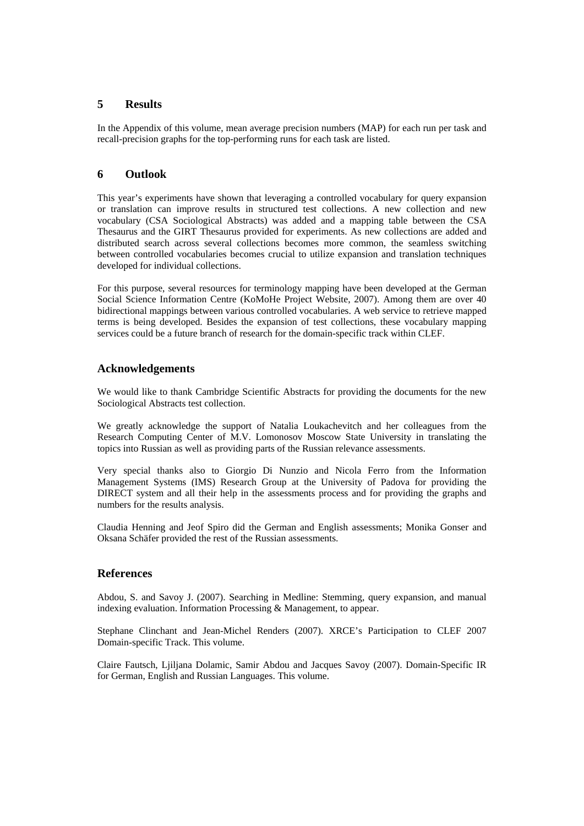## **5 Results**

In the Appendix of this volume, mean average precision numbers (MAP) for each run per task and recall-precision graphs for the top-performing runs for each task are listed.

## **6 Outlook**

This year's experiments have shown that leveraging a controlled vocabulary for query expansion or translation can improve results in structured test collections. A new collection and new vocabulary (CSA Sociological Abstracts) was added and a mapping table between the CSA Thesaurus and the GIRT Thesaurus provided for experiments. As new collections are added and distributed search across several collections becomes more common, the seamless switching between controlled vocabularies becomes crucial to utilize expansion and translation techniques developed for individual collections.

For this purpose, several resources for terminology mapping have been developed at the German Social Science Information Centre (KoMoHe Project Website, 2007). Among them are over 40 bidirectional mappings between various controlled vocabularies. A web service to retrieve mapped terms is being developed. Besides the expansion of test collections, these vocabulary mapping services could be a future branch of research for the domain-specific track within CLEF.

## **Acknowledgements**

We would like to thank Cambridge Scientific Abstracts for providing the documents for the new Sociological Abstracts test collection.

We greatly acknowledge the support of Natalia Loukachevitch and her colleagues from the Research Computing Center of M.V. Lomonosov Moscow State University in translating the topics into Russian as well as providing parts of the Russian relevance assessments.

Very special thanks also to Giorgio Di Nunzio and Nicola Ferro from the Information Management Systems (IMS) Research Group at the University of Padova for providing the DIRECT system and all their help in the assessments process and for providing the graphs and numbers for the results analysis.

Claudia Henning and Jeof Spiro did the German and English assessments; Monika Gonser and Oksana Schäfer provided the rest of the Russian assessments.

### **References**

Abdou, S. and Savoy J. (2007). Searching in Medline: Stemming, query expansion, and manual indexing evaluation. Information Processing & Management, to appear.

Stephane Clinchant and Jean-Michel Renders (2007). XRCE's Participation to CLEF 2007 Domain-specific Track. This volume.

Claire Fautsch, Ljiljana Dolamic, Samir Abdou and Jacques Savoy (2007). Domain-Specific IR for German, English and Russian Languages. This volume.